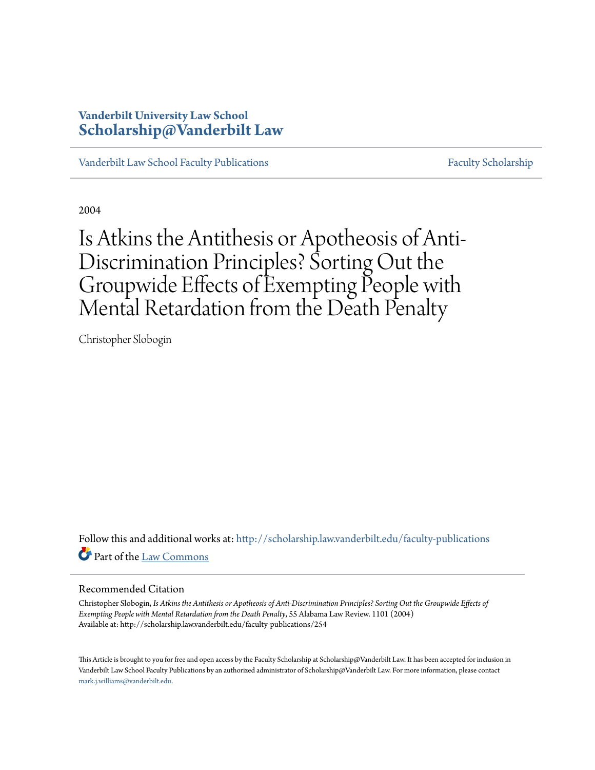# **Vanderbilt University Law School [Scholarship@Vanderbilt Law](http://scholarship.law.vanderbilt.edu?utm_source=scholarship.law.vanderbilt.edu%2Ffaculty-publications%2F254&utm_medium=PDF&utm_campaign=PDFCoverPages)**

[Vanderbilt Law School Faculty Publications](http://scholarship.law.vanderbilt.edu/faculty-publications?utm_source=scholarship.law.vanderbilt.edu%2Ffaculty-publications%2F254&utm_medium=PDF&utm_campaign=PDFCoverPages) [Faculty Scholarship](http://scholarship.law.vanderbilt.edu/faculty-scholarship?utm_source=scholarship.law.vanderbilt.edu%2Ffaculty-publications%2F254&utm_medium=PDF&utm_campaign=PDFCoverPages)

2004

Is Atkins the Antithesis or Apotheosis of Anti-Discrimination Principles? Sorting Out the Groupwide Effects of Exempting People with Mental Retardation from the Death Penalty

Christopher Slobogin

Follow this and additional works at: [http://scholarship.law.vanderbilt.edu/faculty-publications](http://scholarship.law.vanderbilt.edu/faculty-publications?utm_source=scholarship.law.vanderbilt.edu%2Ffaculty-publications%2F254&utm_medium=PDF&utm_campaign=PDFCoverPages) Part of the [Law Commons](http://network.bepress.com/hgg/discipline/578?utm_source=scholarship.law.vanderbilt.edu%2Ffaculty-publications%2F254&utm_medium=PDF&utm_campaign=PDFCoverPages)

### Recommended Citation

Christopher Slobogin, *Is Atkins the Antithesis or Apotheosis of Anti-Discrimination Principles? Sorting Out the Groupwide Effects of Exempting People with Mental Retardation from the Death Penalty*, 55 Alabama Law Review. 1101 (2004) Available at: http://scholarship.law.vanderbilt.edu/faculty-publications/254

This Article is brought to you for free and open access by the Faculty Scholarship at Scholarship@Vanderbilt Law. It has been accepted for inclusion in Vanderbilt Law School Faculty Publications by an authorized administrator of Scholarship@Vanderbilt Law. For more information, please contact [mark.j.williams@vanderbilt.edu](mailto:mark.j.williams@vanderbilt.edu).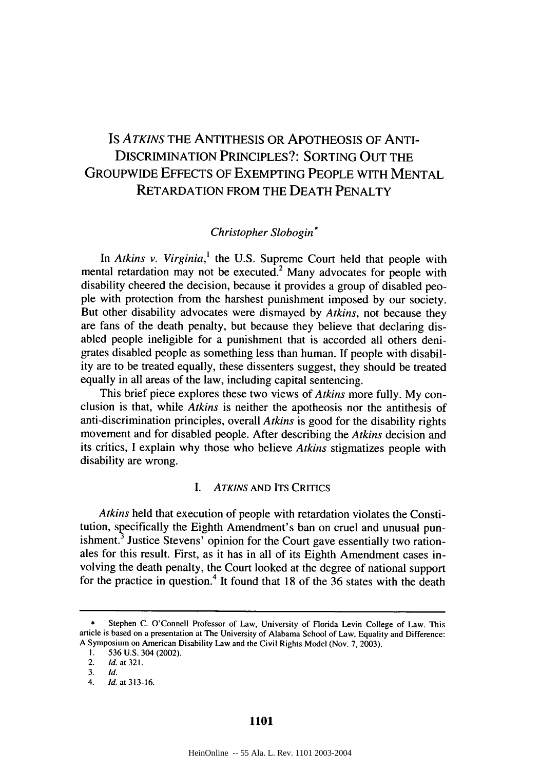# Is *ATKINS* THE ANTITHESIS OR APOTHEOSIS OF ANTI-DISCRIMINATION PRINCIPLES?: SORTING OUT THE GROUPWIDE EFFECTS OF EXEMPTING PEOPLE WITH MENTAL RETARDATION FROM THE DEATH PENALTY

## *Christopher Slobogin\**

In *Atkins v. Virginia,'* the U.S. Supreme Court held that people with mental retardation may not be executed.<sup>2</sup> Many advocates for people with disability cheered the decision, because it provides a group of disabled people with protection from the harshest punishment imposed by our society. But other disability advocates were dismayed by *Atkins,* not because they are fans of the death penalty, but because they believe that declaring disabled people ineligible for a punishment that is accorded all others denigrates disabled people as something less than human. If people with disability are to be treated equally, these dissenters suggest, they should be treated equally in all areas of the law, including capital sentencing.

This brief piece explores these two views of *Atkins* more fully. My conclusion is that, while *Atkins* is neither the apotheosis nor the antithesis of anti-discrimination principles, overall *Atkins* is good for the disability rights movement and for disabled people. After describing the *Atkins* decision and its critics, I explain why those who believe *Atkins* stigmatizes people with disability are wrong.

### *I.* ATKINS **AND ITS** CRITICS

*Atkins* held that execution of people with retardation violates the Constitution, specifically the Eighth Amendment's ban on cruel and unusual punishment.<sup>3</sup> Justice Stevens' opinion for the Court gave essentially two rationales for this result. First, as it has in all of its Eighth Amendment cases involving the death penalty, the Court looked at the degree of national support for the practice in question.<sup>4</sup> It found that 18 of the  $36$  states with the death

Stephen C. O'Connell Professor of Law, University of Florida Levin College of Law. This article is based on a presentation at The University of Alabama School of Law, Equality and Difference: A Symposium on American Disability Law and the Civil Rights Model (Nov. 7, 2003).

<sup>1.</sup> 536 U.S. 304 (2002).

<sup>2.</sup> Id. at 321.

<sup>3.</sup> **Id.**

<sup>4.</sup> Id. at 313-16.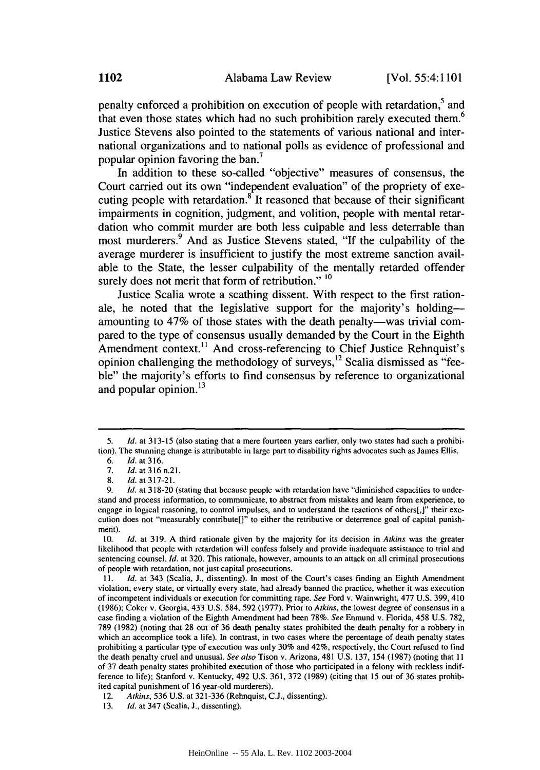penalty enforced a prohibition on execution of people with retardation,<sup>5</sup> and that even those states which had no such prohibition rarely executed them.<sup>6</sup> Justice Stevens also pointed to the statements of various national and international organizations and to national polls as evidence of professional and popular opinion favoring the ban.<sup>7</sup>

In addition to these so-called "objective" measures of consensus, the Court carried out its own "independent evaluation" of the propriety of executing people with retardation.<sup>8</sup> It reasoned that because of their significant impairments in cognition, judgment, and volition, people with mental retardation who commit murder are both less culpable and less deterrable than most murderers. 9 And as Justice Stevens stated, **"If** the culpability of the average murderer is insufficient to justify the most extreme sanction available to the State, the lesser culpability of the mentally retarded offender surely does not merit that form of retribution."<sup>10</sup>

Justice Scalia wrote a scathing dissent. With respect to the first rationale, he noted that the legislative support for the majority's holdingamounting to 47% of those states with the death penalty—was trivial compared to the type of consensus usually demanded **by** the Court in the Eighth Amendment context.<sup>11</sup> And cross-referencing to Chief Justice Rehnquist's opinion challenging the methodology of surveys, 12 Scalia dismissed as **"fee**ble" the majority's efforts to find consensus by reference to organizational and popular opinion. $^{13}$ 

<sup>5.</sup> *Id.* at 313-15 (also stating that a mere fourteen years earlier, only two states had such a prohibition). The stunning change is attributable in large part to disability rights advocates such as James Ellis.

<sup>6.</sup> **Id.** at 316.

<sup>7.</sup> **Id.** at **316** n.21.

<sup>8.</sup> **Id.** at 317-21.

<sup>9.</sup> *Id.* at 318-20 (stating that because people with retardation have "diminished capacities to understand and process information, to communicate, to abstract from mistakes and learn from experience, to engage in logical reasoning, to control impulses, and to understand the reactions of others[,]" their execution does not "measurably contribute[]" to either the retributive or deterrence goal of capital punishment).

<sup>10.</sup> *Id.* at 319. A third rationale given by the majority for its decision in *Atkins* was the greater likelihood that people with retardation will confess falsely and provide inadequate assistance to trial and sentencing counsel. *Id.* at 320. This rationale, however, amounts to an attack on all criminal prosecutions of people with retardation, not just capital prosecutions.

*<sup>11.</sup> Id.* at 343 (Scalia, J., dissenting). In most of the Court's cases finding an Eighth Amendment violation, every state, or virtually every state, had already banned the practice, whether it was execution of incompetent individuals or execution for committing rape. *See* Ford v. Wainwright, 477 U.S. 399, 410 (1986); Coker v. Georgia, 433 U.S. 584, 592 (1977). Prior to *Atkins,* the lowest degree of consensus in a case finding a violation of the Eighth Amendment had been 78%. *See* Enmund v. Florida, 458 U.S. 782, 789 (1982) (noting that 28 out of 36 death penalty states prohibited the death penalty for a robbery in which an accomplice took a life). In contrast, in two cases where the percentage of death penalty states prohibiting a particular type of execution was only 30% and 42%, respectively, the Court refused to find the death penalty cruel and unusual. *See also* Tison v. Arizona, 481 U.S. 137, 154 (1987) (noting that **II** of 37 death penalty states prohibited execution of those who participated in a felony with reckless indifference to life); Stanford v. Kentucky, 492 U.S. 361, 372 (1989) (citing that 15 out of 36 states prohibited capital punishment of 16 year-old murderers).

<sup>12.</sup> *Atkins,* 536 U.S. at 321-336 (Rehnquist, C.J., dissenting).

<sup>13.</sup> *Id.* at 347 (Scalia, J., dissenting).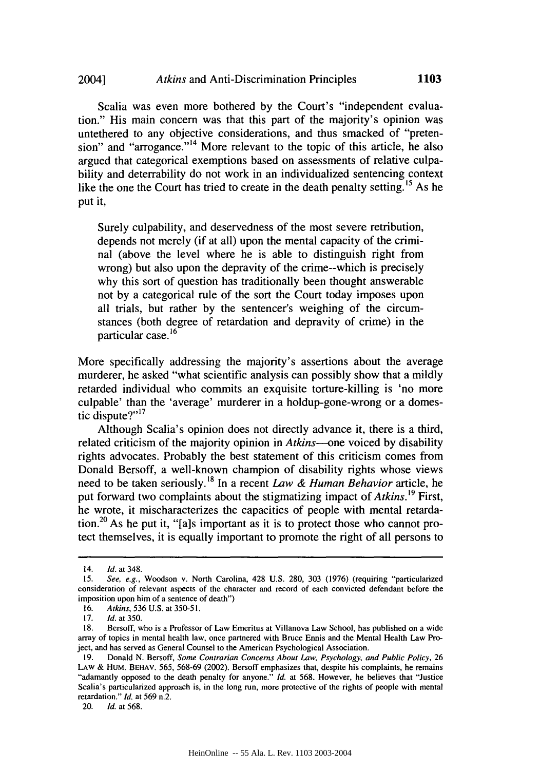Scalia was even more bothered by the Court's "independent evaluation." His main concern was that this part of the majority's opinion was untethered to any objective considerations, and thus smacked of "pretension" and "arrogance."<sup> $14$ </sup> More relevant to the topic of this article, he also argued that categorical exemptions based on assessments of relative culpability and deterrability do not work in an individualized sentencing context like the one the Court has tried to create in the death penalty setting.<sup>15</sup> As he put it,

Surely culpability, and deservedness of the most severe retribution, depends not merely (if at all) upon the mental capacity of the criminal (above the level where he is able to distinguish right from wrong) but also upon the depravity of the crime--which is precisely why this sort of question has traditionally been thought answerable not by a categorical rule of the sort the Court today imposes upon all trials, but rather by the sentencer's weighing of the circumstances (both degree of retardation and depravity of crime) in the particular case. **<sup>16</sup>**

More specifically addressing the majority's assertions about the average murderer, he asked "what scientific analysis can possibly show that a mildly retarded individual who commits an exquisite torture-killing is 'no more culpable' than the 'average' murderer in a holdup-gone-wrong or a domestic dispute?"<sup>17</sup>

Although Scalia's opinion does not directly advance it, there is a third, related criticism of the majority opinion in *Atkins--one* voiced by disability rights advocates. Probably the best statement of this criticism comes from Donald Bersoff, a well-known champion of disability rights whose views need to be taken seriously.<sup>18</sup> In a recent *Law & Human Behavior* article, he put forward two complaints about the stigmatizing impact of *Atkins*.<sup>19</sup> First, he wrote, it mischaracterizes the capacities of people with mental retardation.<sup>20</sup> As he put it, "[a]s important as it is to protect those who cannot pro-

20. *Id.* at 568.

<sup>14.</sup> **Id.** at 348.

<sup>15.</sup> See, e.g., Woodson v. North Carolina, 428 U.S. 280, 303 (1976) (requiring "particularized consideration of relevant aspects of the character and record of each convicted defendant before the imposition upon him of a sentence of death")

<sup>16.</sup> Atkins, 536 U.S. at 350-5 **1.**

<sup>17.</sup> **Id.** at 350.

<sup>18.</sup> Bersoff, who is a Professor of Law Emeritus at Villanova Law School, has published on a wide array of topics in mental health law, once partnered with Bruce Ennis and the Mental Health Law Project, and has served as General Counsel to the American Psychological Association.

<sup>19.</sup> Donald N. Bersoff, Some Contrarian Concerns About Law, Psychology, and Public Policy, 26 LAW & **HUM.** BEHAv. 565, 568-69 (2002). Bersoff emphasizes that, despite his complaints, he remains "adamantly opposed to the death penalty for anyone." Id. at 568. However, he believes that "Justice Scalia's particularized approach is, in the long run, more protective of the rights of people with mental retardation." **Id.** at 569 n.2.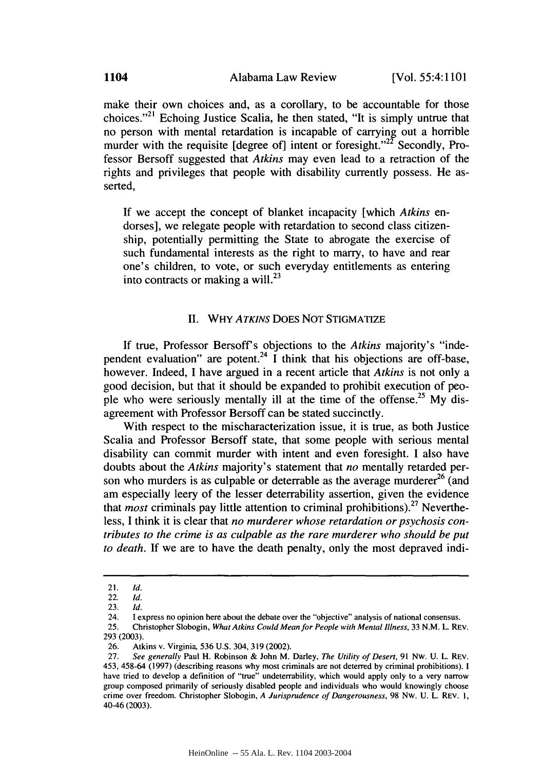make their own choices and, as a corollary, to be accountable for those choices.",21 Echoing Justice Scalia, he then stated, "It is simply untrue that no person with mental retardation is incapable of carrying out a horrible murder with the requisite [degree of] intent or foresight."<sup>22</sup> Secondly, Professor Bersoff suggested that *Atkins* may even lead to a retraction of the rights and privileges that people with disability currently possess. He asserted,

If we accept the concept of blanket incapacity [which *Atkins* endorses], we relegate people with retardation to second class citizenship, potentially permitting the State to abrogate the exercise of such fundamental interests as the right to marry, to have and rear one's children, to vote, or such everyday entitlements as entering into contracts or making a will. $^{23}$ 

#### II. WHY *ATKINS* DOES NOT STIGMATIZE

If true, Professor Bersoff s objections to the *Atkins* majority's "independent evaluation" are potent.<sup>24</sup> I think that his objections are off-base, however. Indeed, I have argued in a recent article that *Atkins* is not only a good decision, but that it should be expanded to prohibit execution of people who were seriously mentally ill at the time of the offense.<sup>25</sup> My disagreement with Professor Bersoff can be stated succinctly.

With respect to the mischaracterization issue, it is true, as both Justice Scalia and Professor Bersoff state, that some people with serious mental disability can commit murder with intent and even foresight. I also have doubts about the *Atkins* majority's statement that *no* mentally retarded person who murders is as culpable or deterrable as the average murderer<sup>26</sup> (and am especially leery of the lesser deterrability assertion, given the evidence that *most* criminals pay little attention to criminal prohibitions).<sup>27</sup> Nevertheless, I think it is clear that *no murderer whose retardation or psychosis contributes to the crime is as culpable as the rare murderer who should be put to death.* If we are to have the death penalty, only the most depraved indi-

<sup>21.</sup> *Id.*

<sup>22.</sup> Id.

<sup>23.</sup> **Id.**

<sup>24.</sup> **1** express no opinion here about the debate over the "objective" analysis of national consensus.

<sup>25.</sup> Christopher Slobogin, *What Atkins Could* Mean for People with *Mental Illness,* 33 N.M. L. REV. 293 (2003).

<sup>26.</sup> Atkins v. Virginia, 536 U.S. 304, 319 (2002).

<sup>27.</sup> *See generally* Paul H. Robinson & John M. Darley, *The Utility of Desert,* 91 Nw. U. L. REV. 453, 458-64 (1997) (describing reasons why most criminals are not deterred by criminal prohibitions). I have tried to develop a definition of "true" undeterrability, which would apply only to a very narrow group composed primarily of seriously disabled people and individuals who would knowingly choose crime over freedom. Christopher Slobogin, *A Jurisprudence of Dangerousness,* 98 Nw. U. L. REV. I, 40-46 (2003).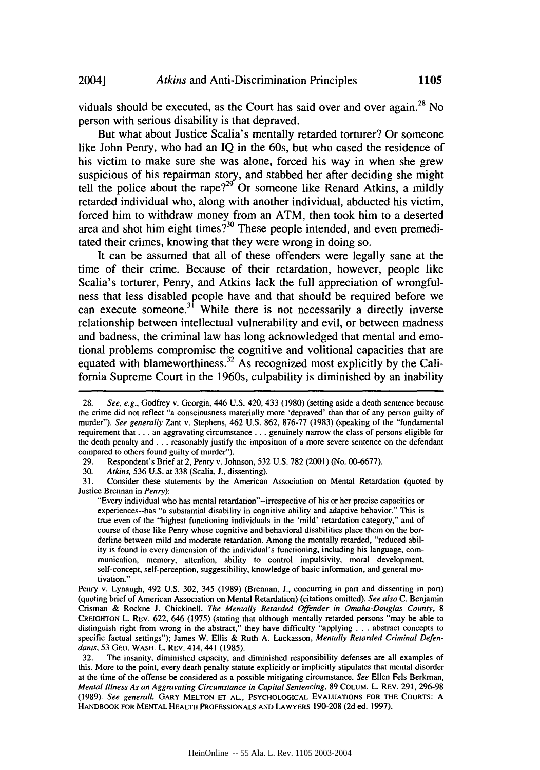viduals should be executed, as the Court has said over and over again.<sup>28</sup> No person with serious disability is that depraved.

But what about Justice Scalia's mentally retarded torturer? Or someone like John Penry, who had an **IQ** in the 60s, but who cased the residence of his victim to make sure she was alone, forced his way in when she grew suspicious of his repairman story, and stabbed her after deciding she might tell the police about the rape?<sup>29</sup> Or someone like Renard Atkins, a mildly retarded individual who, along with another individual, abducted his victim, forced him to withdraw money from an ATM, then took him to a deserted area and shot him eight times?<sup>30</sup> These people intended, and even premeditated their crimes, knowing that they were wrong in doing so.

It can be assumed that all of these offenders were legally sane at the time of their crime. Because of their retardation, however, people like Scalia's torturer, Penry, and Atkins lack the full appreciation of wrongfulness that less disabled people have and that should be required before we can execute someone.<sup>31</sup> While there is not necessarily a directly inverse relationship between intellectual vulnerability and evil, or between madness and badness, the criminal law has long acknowledged that mental and emotional problems compromise the cognitive and volitional capacities that are equated with blameworthiness. 32 As recognized most explicitly **by** the California Supreme Court in the 1960s, culpability is diminished **by** an inability

30. Atkins, 536 U.S. at 338 (Scalia, J., dissenting).

31. Consider these statements by the American Association on Mental Retardation (quoted by Justice Brennan in Penry):

"Every individual who has mental retardation"--irrespective of his or her precise capacities or experiences--has "a substantial disability in cognitive ability and adaptive behavior." This is true even of the "highest functioning individuals in the 'mild' retardation category," and of course of those like Penry whose cognitive and behavioral disabilities place them on the borderline between mild and moderate retardation. Among the mentally retarded, "reduced ability is found in every dimension of the individual's functioning, including his language, communication, memory, attention, ability to control impulsivity, moral development, self-concept, self-perception, suggestibility, knowledge of basic information, and general motivation."

Penry v. Lynaugh, 492 U.S. 302, 345 (1989) (Brennan, J., concurring in part and dissenting in part) (quoting brief of American Association on Mental Retardation) (citations omitted). See also C. Benjamin Crisman & Rockne **J.** Chickinell, The Mentally Retarded Offender in Omaha-Douglas County, *8* **CREIGHTON** L. REV. 622, 646 (1975) (stating that although mentally retarded persons "may be able to distinguish right from wrong in the abstract," they have difficulty "applying ... abstract concepts to specific factual settings"); James W. Ellis & Ruth A. Luckasson, Mentally Retarded Criminal Defendants, 53 GEO. WASH. L. REV. 414, 441 (1985).

32. The insanity, diminished capacity, and diminished responsibility defenses are all examples of this. More to the point, every death penalty statute explicitly or implicitly stipulates that mental disorder at the time of the offense be considered as a possible mitigating circumstance. See Ellen Fels Berkman, Mental Illness As an Aggravating Circumstance in Capital *Sentencing,* 89 COLUM. L. REV. 291, 296-98 (1989). See generall, GARY **MELTON ET AL., PSYCHOLOGICAL EVALUATIONS** FOR THE **COURTS: A** HANDBOOK FOR **MENTAL** HEALTH **PROFESSIONALS AND** LAWYERS 190-208 (2d ed. 1997).

<sup>28.</sup> See, e.g., Godfrey v. Georgia, 446 U.S. 420, 433 (1980) (setting aside a death sentence because the crime did not reflect "a consciousness materially more 'depraved' than that of any person guilty of murder"). See generally Zant v. Stephens, 462 U.S. 862, 876-77 (1983) (speaking of the "fundamental requirement that **...** an aggravating circumstance... genuinely narrow the class of persons eligible for the death penalty and **...** reasonably justify the imposition of a more severe sentence on the defendant compared to others found guilty of murder").

<sup>29.</sup> Respondent's Brief at 2, Penry v. Johnson, 532 U.S. 782 (2001) (No. 00-6677).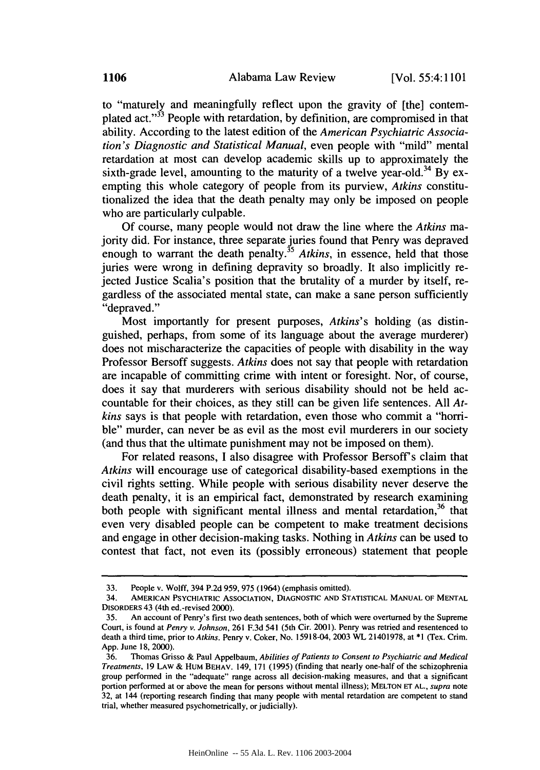to "maturely and meaningfully reflect upon the gravity of [the] contemplated act."<sup>33</sup> People with retardation, by definition, are compromised in that ability. According to the latest edition of the *American Psychiatric Association's Diagnostic and Statistical Manual,* even people with "mild" mental retardation at most can develop academic skills up to approximately the sixth-grade level, amounting to the maturity of a twelve year-old.<sup>34</sup> By exempting this whole category of people from its purview, *Atkins* constitutionalized the idea that the death penalty may only be imposed on people who are particularly culpable.

Of course, many people would not draw the line where the *Atkins* majority did. For instance, three separate juries found that Penry was depraved enough to warrant the death penalty.<sup>35</sup> *Atkins*, in essence, held that those juries were wrong in defining depravity so broadly. It also implicitly rejected Justice Scalia's position that the brutality of a murder by itself, regardless of the associated mental state, can make a sane person sufficiently "depraved."

Most importantly for present purposes, *Atkins's* holding (as distinguished, perhaps, from some of its language about the average murderer) does not mischaracterize the capacities of people with disability in the way Professor Bersoff suggests. *Atkins* does not say that people with retardation are incapable of committing crime with intent or foresight. Nor, of course, does it say that murderers with serious disability should not be held accountable for their choices, as they still can be given life sentences. All *Atkins* says is that people with retardation, even those who commit a "horrible" murder, can never be as evil as the most evil murderers in our society (and thus that the ultimate punishment may not be imposed on them).

For related reasons, I also disagree with Professor Bersoff's claim that *Atkins* will encourage use of categorical disability-based exemptions in the civil rights setting. While people with serious disability never deserve the death penalty, it is an empirical fact, demonstrated by research examining both people with significant mental illness and mental retardation, $36$  that even very disabled people can be competent to make treatment decisions and engage in other decision-making tasks. Nothing in *Atkins* can be used to contest that fact, not even its (possibly erroneous) statement that people

<sup>33.</sup> People v. Wolff, 394 P.2d 959, 975 (1964) (emphasis omitted).

<sup>34.</sup> **AMERICAN** PSYCHIATRIC **ASSOCIATION, DIAGNOSTIC AND STATISTICAL MANUAL** OF **MENTAL** DISORDERS 43 (4th ed.-revised 2000).

<sup>35.</sup> An account of Penry's first two death sentences, both of which were overturned by the Supreme Court, is found at *Penry v. Johnson,* 261 F.3d 541 (5th Cir. 2001). Penry was retried and resentenced to death a third time, prior to *Atkins.* Penry v. Coker, No. 15918-04, 2003 WL 21401978, at \*1 (Tex. Crim. App. June 18, 2000).

<sup>36.</sup> Thomas Grisso & Paul Appelbaum, *Abilities of Patients to Consent to Psychiatric and Medical Treatments,* 19 LAW & HUM BEHAV. 149, 171 (1995) (finding that nearly one-half of the schizophrenia group performed in the "adequate" range across all decision-making measures, and that a significant portion performed at or above the mean for persons without mental illness); **MELTON** ET **AL.,** *supra* note 32, at 144 (reporting research finding that many people with mental retardation are competent to stand trial, whether measured psychometrically, or judicially).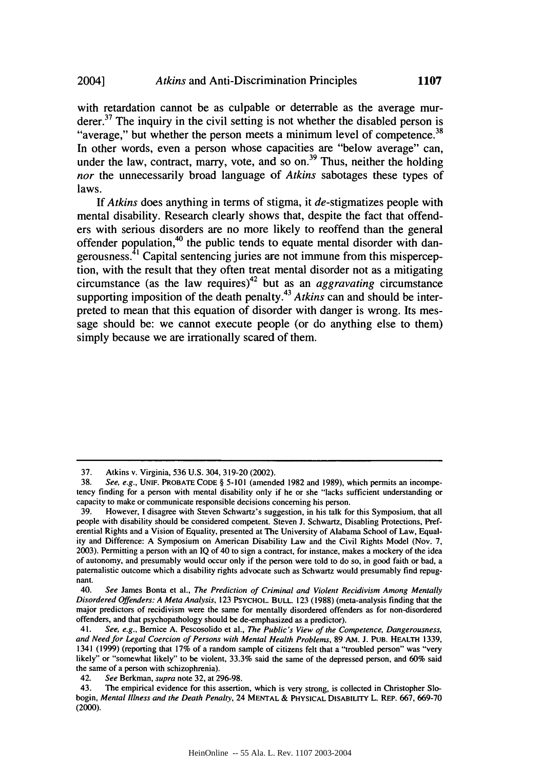with retardation cannot be as culpable or deterrable as the average murderer.<sup>37</sup> The inquiry in the civil setting is not whether the disabled person is "average," but whether the person meets a minimum level of competence.<sup>38</sup> In other words, even a person whose capacities are "below average" can, under the law, contract, marry, vote, and so on.<sup>39</sup> Thus, neither the holding *nor* the unnecessarily broad language of *Atkins* sabotages these types of laws.

**If** *Atkins* does anything in terms of stigma, it de-stigmatizes people with mental disability. Research clearly shows that, despite the fact that offenders with serious disorders are no more likely to reoffend than the general offender population,<sup>40</sup> the public tends to equate mental disorder with dangerousness. $^{41}$  Capital sentencing juries are not immune from this misperception, with the result that they often treat mental disorder not as a mitigating circumstance (as the law requires)<sup>42</sup> but as an *aggravating* circumstance supporting imposition of the death penalty. <sup>43</sup>*Atkins* can and should be interpreted to mean that this equation of disorder with danger is wrong. Its message should be: we cannot execute people (or do anything else to them) simply because we are irrationally scared of them.

<sup>37.</sup> Atkins v. Virginia, 536 U.S. 304, 319-20 (2002).

**<sup>38.</sup>** See, e.g., **UNIF.** PROBATE **CODE** § **5-101** (amended 1982 and 1989), which permits an incompetency finding for a person with mental disability only if he or she "lacks sufficient understanding or capacity to make or communicate responsible decisions concerning his person.

<sup>39.</sup> However, I disagree with Steven Schwartz's suggestion, in his talk for this Symposium, that all people with disability should be considered competent. Steven J. Schwartz, Disabling Protections, Preferential Rights and a Vision of Equality, presented at The University of Alabama School of Law, Equality and Difference: A Symposium on American Disability Law and the Civil Rights Model (Nov. 7, 2003). Permitting a person with an IQ of 40 to sign a contract, for instance, makes a mockery of the idea of autonomy, and presumably would occur only if the person were told to do so, in good faith or bad, a paternalistic outcome which a disability rights advocate such as Schwartz would presumably find repugnant.

<sup>40.</sup> See James Bonta et al., The Prediction of Criminal and Violent Recidivism Among Mentally Disordered Offenders: A Meta Analysis, 123 PSYCHOL. **BULL.** 123 (1988) (meta-analysis finding that the major predictors of recidivism were the same for mentally disordered offenders as for non-disordered offenders, and that psychopathology should be de-emphasized as a predictor).

<sup>41.</sup> See, e.g., Bernice A. Pescosolido et al., The Public's View of the Competence, Dangerousness, and Need for Legal Coercion of Persons with Mental Health Problems, 89 AM. **J.** PUB. HEALTH 1339, 1341 (1999) (reporting that 17% of a random sample of citizens felt that a "troubled person" was "very likely" or "somewhat likely" to be violent, 33.3% said the same of the depressed person, and 60% said the same of a person with schizophrenia).

<sup>42.</sup> See Berkman, supra note 32, at 296-98.

<sup>43.</sup> The empirical evidence for this assertion, which is very strong, is collected in Christopher Slobogin, Mental Illness and the Death Penalty, 24 **MENTAL** & PHYSICAL DISABILITY **L. REP. 667,** 669-70 (2000).